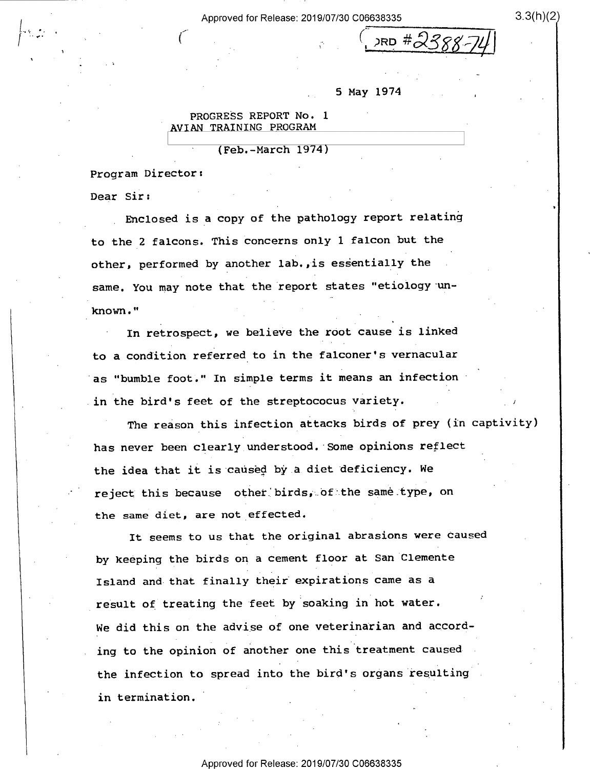Approved for Release: 2019/07/30 C06638335 3.3(h)(2)

'

1 is a construction of the construction of the construction of the construction of the construction of the const 'll  $285 * 2388'$ 

## 5 May 1974

»

PROGRESS REPORT No. <sup>1</sup> AVIAN TRAINING PROGRAM

' (Feb.-March 1974)

'

Program Director: \_

Dear Sir:

 $\left| \begin{array}{ccc} \mathbf{1} & \mathbf{1} & \mathbf{1} & \mathbf{1} & \mathbf{1} & \mathbf{1} & \mathbf{1} & \mathbf{1} & \mathbf{1} & \mathbf{1} & \mathbf{1} & \mathbf{1} & \mathbf{1} & \mathbf{1} & \mathbf{1} & \mathbf{1} & \mathbf{1} & \mathbf{1} & \mathbf{1} & \mathbf{1} & \mathbf{1} & \mathbf{1} & \mathbf{1} & \mathbf{1} & \mathbf{1} & \mathbf{1} & \mathbf{1} & \mathbf{1} & \mathbf{1} & \mathbf{1} &$ 

 $\ddot{\phantom{0}}$ 

Enclosed is a copy of the pathology report relating to the 2 falcons. This Concerns only 1 falcon but the other, performed by another lab., is essentially the same. You may note that the report states "etiology un- $\bullet$   $^{\rm H}$   $\bullet$   $^{\rm H}$   $\bullet$   $^{\rm H}$   $\bullet$   $^{\rm H}$   $\bullet$   $^{\rm H}$   $\bullet$   $^{\rm H}$   $\bullet$   $^{\rm H}$   $\bullet$   $^{\rm H}$   $\bullet$   $^{\rm H}$   $\bullet$   $^{\rm H}$   $\bullet$   $^{\rm H}$   $\bullet$   $^{\rm H}$   $\bullet$   $^{\rm H}$ 

In retrospect, we believe the root cause is linked to a condition referred to in the falconer's vernacular as "bumble foot." In simple terms it means an infectionin the bird's feet of the streptococus variety.

The reason this infection attacks birds of prey (in captivity) has never been clearly understood. Some opinions reflect the idea that it is caused by.a diet deficiency. We reject this because other birds, of the same type, on the same diet, are not effected.

It seems to us that the original abrasions were caused by keeping the birds on a cement floor at San Clemente Island and that finally their expirations came as a result of treating the feet by soaking in hot water. we did this on the advise of one veterinarian and according to the opinion of another one this treatment caused the infection to spread into the bird's organs resulting in termination.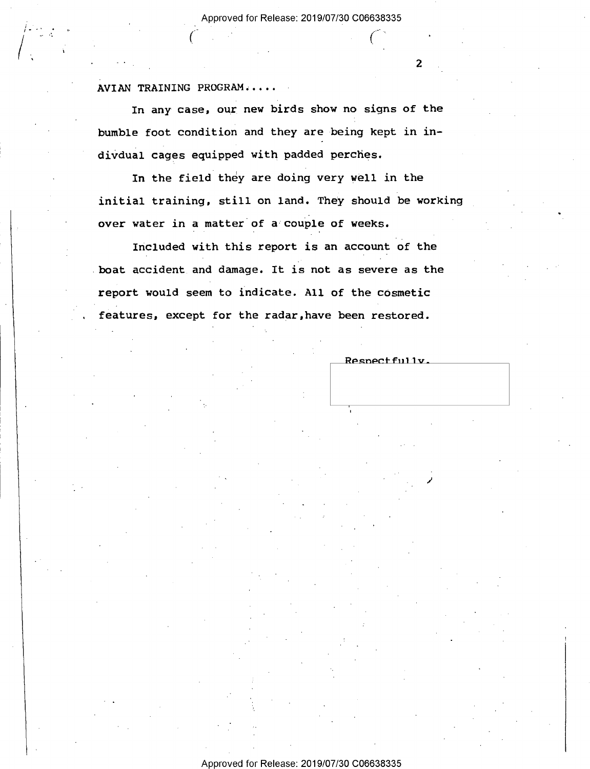$C_{\mathbb{R}}$  (e)  $\mathbb{R}^n$  (e)  $\mathbb{R}^n$  (e)  $\mathbb{R}^n$ 

## AVIAN TRAINING PROGRAM; . . . .

In any case, our new birds show no signs of the bumble foot condition and they are being kept in indivdual cages equipped with padded perches.

In the field they are doing very well in the initial training, still on land. They should be working over water in a matter of a couple of weeks.

Included with this report is an account of the boat accident and damage. It is not as severe as the report would seem to indicate. All of the cosmetic features, except for the radar,have been restored.

 $\mathcal{L}$ 

Respectfully.

 $\overline{2}$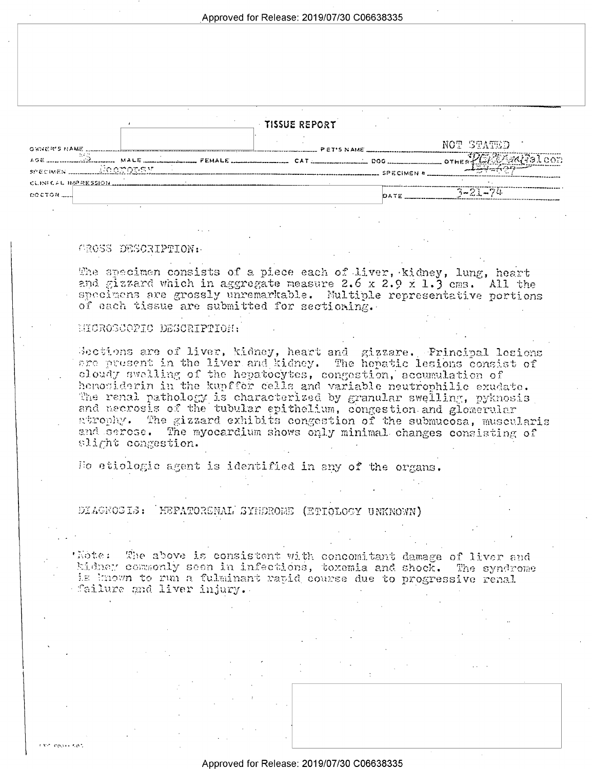Approved for Release: 2019/07/30 C06638335

|  |  |  |  |  |  | TISSUE REPORT |  |  |  |  |  |  |
|--|--|--|--|--|--|---------------|--|--|--|--|--|--|
|--|--|--|--|--|--|---------------|--|--|--|--|--|--|

| GWNER'S NAME.                                                    | <b>PET'S NAME</b> | NOT STATED        |
|------------------------------------------------------------------|-------------------|-------------------|
| $158$ MALE MALE FENALE $2000$ CAT $2000$ DOG THE RALE of $32000$ |                   | <b>SPECIMEN #</b> |
| CLINICAL IMPRESSION<br>COCTOR                                    |                   | ユークトークル           |

#### GROSS DESCRIPTION:

The specimen consists of a piece each of liver, kidney, lung, heart and gizzard which in aggregate measure 2.6 x 2.9 x 1.3 cms. All the specimens are grossly unremarkable. Multiple representative portions of each tissue are submitted for sectioning.

#### HIGROSCOPIC DESCRIPTION:

Geotions are of liver, kidney, heart and gizzare. Principal lesions are aresent in the liver and kidney. The hepatic lesions consist of cloudy swelling of the hepatocytes, congestion, accumulation of hemosiderin in the kupffer cells and variable neutrophilic exudate. The renal pathology is characterized by granular swelling, pyknosis and necrosis of the tubular epithelium, congestion and glomerular atrophy. The gizzard exhibits congestion of the submucosa, muscularis and serose. The myocardium shows only minimal changes consisting of slight congestion.

Ho etiologic agent is identified in any of the organs.

## DIAGNOSIS: HEFATORGNAL SYHDROME (ETIOLOGY UNKNOWN)

'Note: The above is consistent with concomitant damage of liver and kidney commonly seen in infections, toxemia and shock. The syndrome is known to run a fulminant rapid course due to progressive renal failure and liver injury.

**CONTRACT**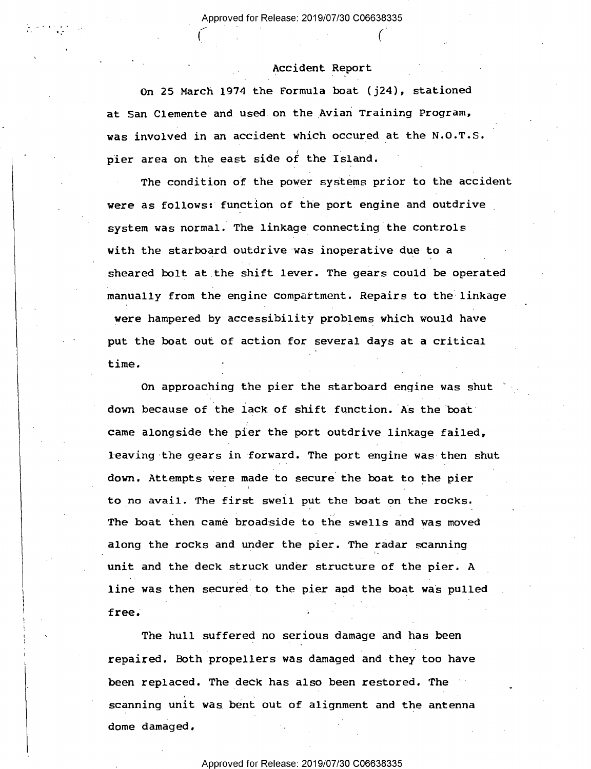$\left(\begin{array}{ccc} 0 & \cdots & \cdots & \cdots \end{array}\right)$ 

 $\sim$   $\sim$   $\sim$ 

## Accident Report

. .

On 25 March 1974 the Formula boat (j24), stationed at San Clemente and used on the Avian Training Program, was involved in an accident which occured at the N.O.T.S. pier area on the east side of the Island.

The condition of the power systems prior to the accident were as follows: function of the port engine and outdrive system was normal. The linkage connecting the controls with the starboard outdrive was inoperative due to a sheared bolt at the shift lever. The gears could be operated manually from the engine compartment. Repairs to the linkage were hampered by accessibility problems which would have put the boat out of action for several days at a critical time.

On approaching the pier the starboard engine was shut down because of the lack of shift function. As the boat" came alongside the pier the port outdrive linkage failed, leaving the gears in forward. The port engine was then shut down. Attempts were made to secure the boat to the pier ' to no avail. The first swell put the boat on the rocks. The boat then came broadside to the swells and was moved along the rocks and under the pier. The radar scanning unit and the deck struck under structure of the pier. A line was then secured to the pier and the boat was pulled free. The state  $\mathbf{r}$  is the state of  $\mathbf{r}$ 

The hull suffered no serious damage and has been repaired. Both propellers was damaged and-they too have been replaced. The deck has also been restored. The scanning unit was bent out of alignment and the antenna dome damaged.

\_

## Approved for Release: 2019/07/30 C06638335